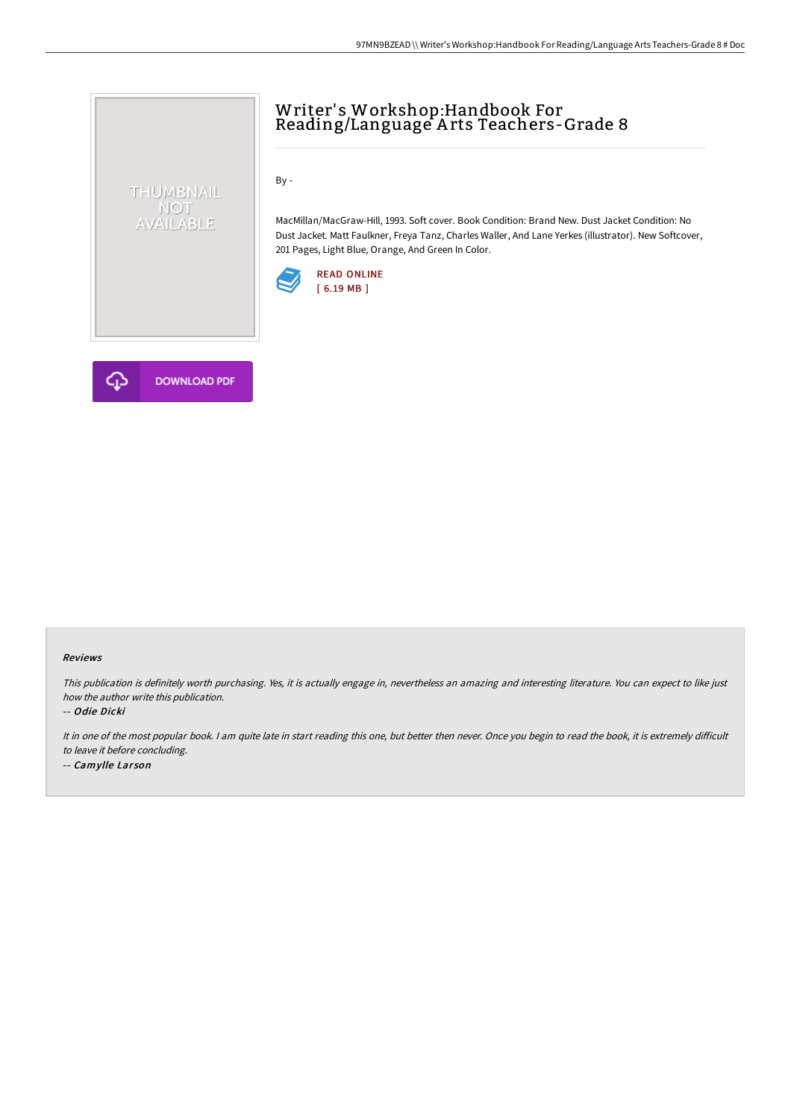# Writer' s Workshop:Handbook For Reading/Language A rts Teachers-Grade 8

By -

MacMillan/MacGraw-Hill, 1993. Soft cover. Book Condition: Brand New. Dust Jacket Condition: No Dust Jacket. Matt Faulkner, Freya Tanz, Charles Waller, And Lane Yerkes (illustrator). New Softcover, 201 Pages, Light Blue, Orange, And Green In Color.





THUMBNAIL NOT<br>AVAILABLE

#### Reviews

This publication is definitely worth purchasing. Yes, it is actually engage in, nevertheless an amazing and interesting literature. You can expect to like just how the author write this publication.

-- Odie Dicki

It in one of the most popular book. I am quite late in start reading this one, but better then never. Once you begin to read the book, it is extremely difficult to leave it before concluding.

-- Camylle Larson